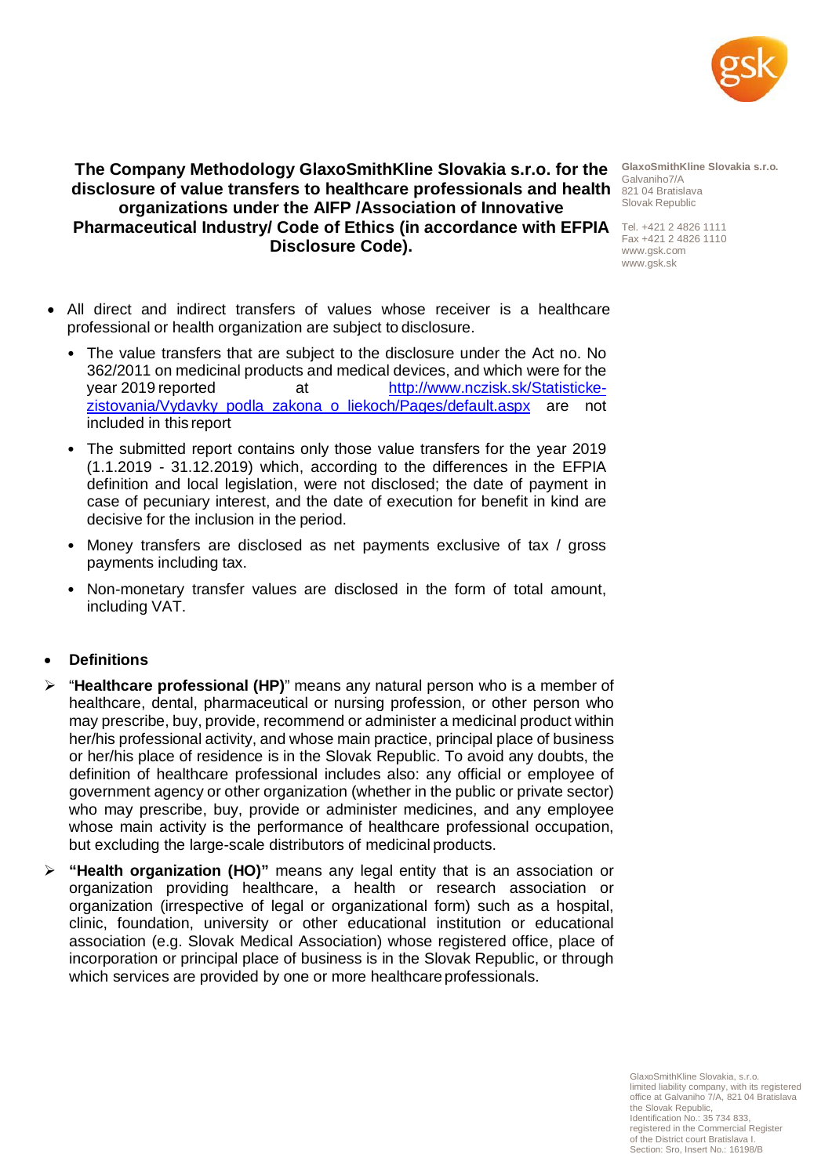

# **The Company Methodology GlaxoSmithKline Slovakia s.r.o. for the disclosure of value transfers to healthcare professionals and health**  821 04 Bratislava **organizations under the AIFP /Association of Innovative Pharmaceutical Industry/ Code of Ethics (in accordance with EFPIA** Tel. +421 2 4826 1111 **Disclosure Code).**

**GlaxoSmithKline Slovakia s.r.o.** Galvaniho7/A Slovak Republic

Fax +421 2 4826 1110 [www.gsk.com](http://www.gsk.com/) [www.gsk.sk](http://www.gsk.sk/)

- All direct and indirect transfers of values whose receiver is a healthcare professional or health organization are subject to disclosure.
	- The value transfers that are subject to the disclosure under the Act no. No 362/2011 on medicinal products and medical devices, and which were for the year 2019 reported at [http://www.nczisk.sk/Statisticke](http://www.nczisk.sk/Statisticke-zistovania/Vydavky_podla_zakona_o_liekoch/Pages/default.aspx)zistovania/Vydavky podla zakona o liekoch/Pages/default.aspx are not included in this report
	- The submitted report contains only those value transfers for the year 2019 (1.1.2019 - 31.12.2019) which, according to the differences in the EFPIA definition and local legislation, were not disclosed; the date of payment in case of pecuniary interest, and the date of execution for benefit in kind are decisive for the inclusion in the period.
	- Money transfers are disclosed as net payments exclusive of tax / gross payments including tax.
	- Non-monetary transfer values are disclosed in the form of total amount, including VAT.

### • **Definitions**

- "**Healthcare professional (HP)**" means any natural person who is a member of healthcare, dental, pharmaceutical or nursing profession, or other person who may prescribe, buy, provide, recommend or administer a medicinal product within her/his professional activity, and whose main practice, principal place of business or her/his place of residence is in the Slovak Republic. To avoid any doubts, the definition of healthcare professional includes also: any official or employee of government agency or other organization (whether in the public or private sector) who may prescribe, buy, provide or administer medicines, and any employee whose main activity is the performance of healthcare professional occupation, but excluding the large-scale distributors of medicinal products.
- **"Health organization (HO)"** means any legal entity that is an association or organization providing healthcare, a health or research association or organization (irrespective of legal or organizational form) such as a hospital, clinic, foundation, university or other educational institution or educational association (e.g. Slovak Medical Association) whose registered office, place of incorporation or principal place of business is in the Slovak Republic, or through which services are provided by one or more healthcare professionals.

GlaxoSmithKline Slovakia, s.r.o. limited liability company, with its registered office at Galvaniho 7/A, 821 04 Bratislava the Slovak Republic, Identification No.: 35 734 833, registered in the Commercial Register of the District court Bratislava I. Section: Sro, Insert No.: 16198/B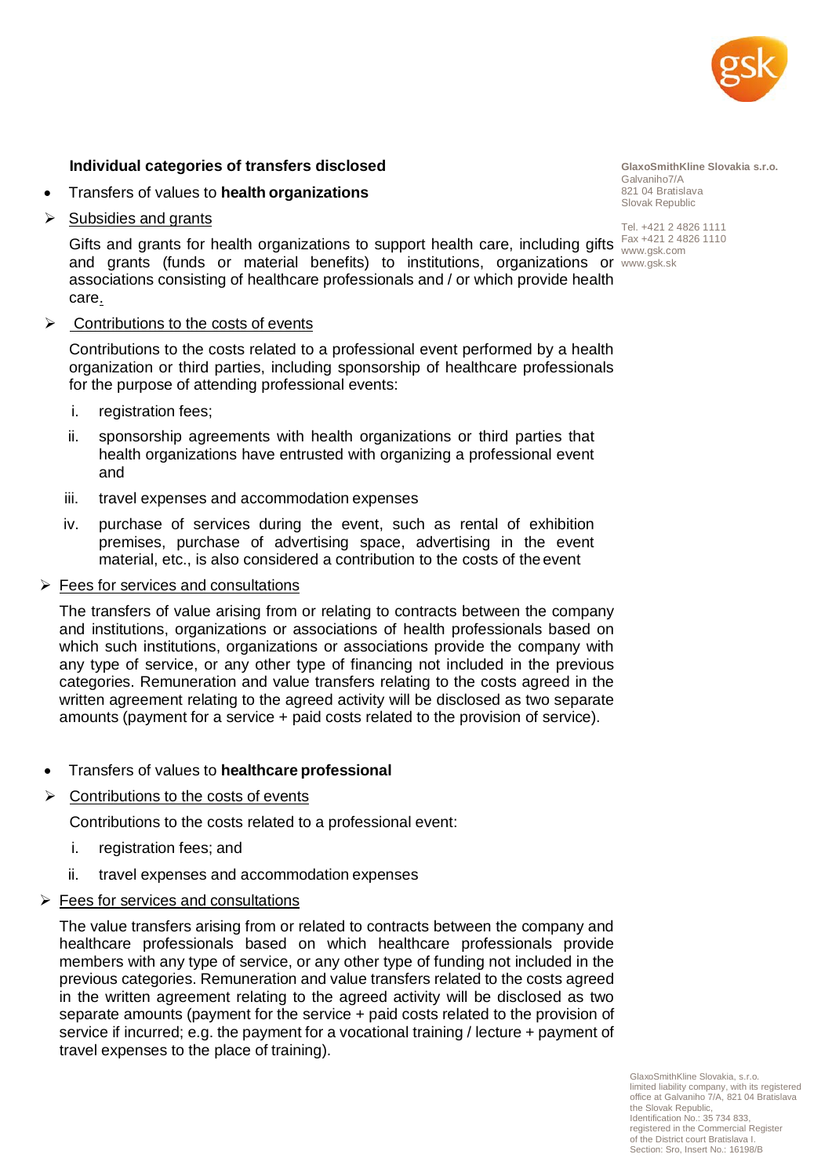

#### **Individual categories of transfers disclosed**

- Transfers of values to **health organizations**
- $\triangleright$  Subsidies and grants

Gifts and grants for health organizations to support health care, including gifts  $\frac{Fax + 421.2.4826.1110}{www. csk.com}$ and grants (funds or material benefits) to institutions, organizations or [www.gsk.sk](http://www.gsk.sk/)associations consisting of healthcare professionals and / or which provide health care.

Contributions to the costs of events

Contributions to the costs related to a professional event performed by a health organization or third parties, including sponsorship of healthcare professionals for the purpose of attending professional events:

- i. registration fees;
- ii. sponsorship agreements with health organizations or third parties that health organizations have entrusted with organizing a professional event and
- iii. travel expenses and accommodation expenses
- iv. purchase of services during the event, such as rental of exhibition premises, purchase of advertising space, advertising in the event material, etc., is also considered a contribution to the costs of the event

#### $\triangleright$  Fees for services and consultations

The transfers of value arising from or relating to contracts between the company and institutions, organizations or associations of health professionals based on which such institutions, organizations or associations provide the company with any type of service, or any other type of financing not included in the previous categories. Remuneration and value transfers relating to the costs agreed in the written agreement relating to the agreed activity will be disclosed as two separate amounts (payment for a service + paid costs related to the provision of service).

- Transfers of values to **healthcare professional**
- $\triangleright$  Contributions to the costs of events

Contributions to the costs related to a professional event:

- i. registration fees; and
- ii. travel expenses and accommodation expenses
- $\triangleright$  Fees for services and consultations

The value transfers arising from or related to contracts between the company and healthcare professionals based on which healthcare professionals provide members with any type of service, or any other type of funding not included in the previous categories. Remuneration and value transfers related to the costs agreed in the written agreement relating to the agreed activity will be disclosed as two separate amounts (payment for the service + paid costs related to the provision of service if incurred; e.g. the payment for a vocational training / lecture + payment of travel expenses to the place of training).

**GlaxoSmithKline Slovakia s.r.o.** Galvaniho7/A 821 04 Bratislava Slovak Republic

Tel. +421 2 4826 1111 [www.gsk.com](http://www.gsk.com/)

GlaxoSmithKline Slovakia, s.r.o. limited liability company, with its registered office at Galvaniho 7/A, 821 04 Bratislava the Slovak Republic, Identification No.: 35 734 833, registered in the Commercial Register of the District court Bratislava I. Section: Sro, Insert No.: 16198/B